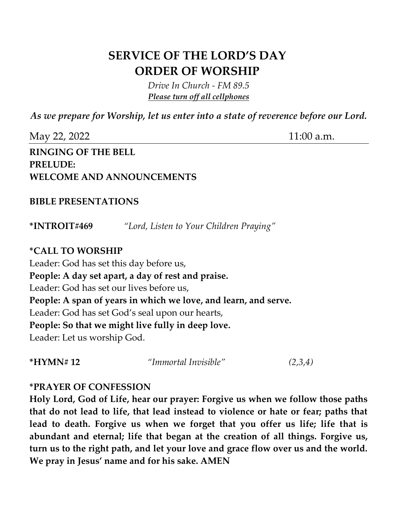## **SERVICE OF THE LORD'S DAY ORDER OF WORSHIP**

*Drive In Church - FM 89.5 Please turn off all cellphones*

*As we prepare for Worship, let us enter into a state of reverence before our Lord.*

| May 22, 2022                     | $11:00$ a.m. |
|----------------------------------|--------------|
| <b>RINGING OF THE BELL</b>       |              |
| <b>PRELUDE:</b>                  |              |
| <b>WELCOME AND ANNOUNCEMENTS</b> |              |
|                                  |              |

## **BIBLE PRESENTATIONS**

**\*INTROIT#469** *"Lord, Listen to Your Children Praying"*

## **\*CALL TO WORSHIP**

Leader: God has set this day before us, **People: A day set apart, a day of rest and praise.**  Leader: God has set our lives before us, **People: A span of years in which we love, and learn, and serve.**  Leader: God has set God's seal upon our hearts, **People: So that we might live fully in deep love.**  Leader: Let us worship God.

**\*HYMN# 12** *"Immortal Invisible" (2,3,4)*

## **\*PRAYER OF CONFESSION**

**Holy Lord, God of Life, hear our prayer: Forgive us when we follow those paths that do not lead to life, that lead instead to violence or hate or fear; paths that lead to death. Forgive us when we forget that you offer us life; life that is abundant and eternal; life that began at the creation of all things. Forgive us, turn us to the right path, and let your love and grace flow over us and the world. We pray in Jesus' name and for his sake. AMEN**